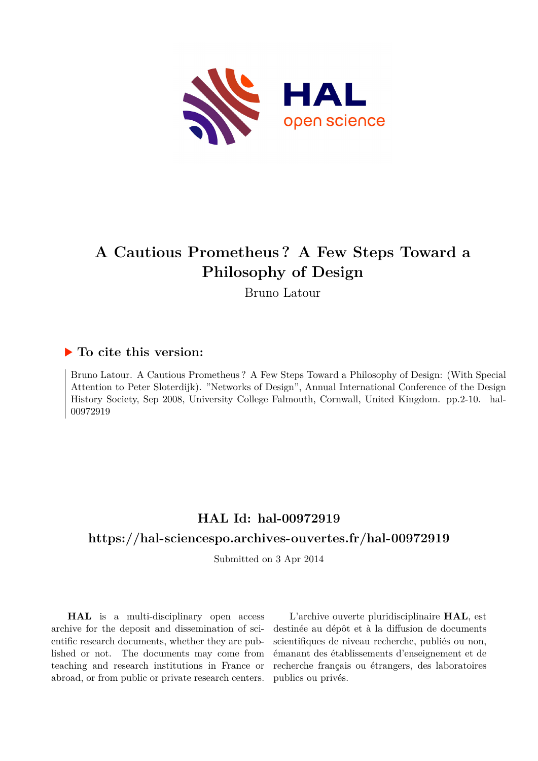

# **A Cautious Prometheus ? A Few Steps Toward a Philosophy of Design**

Bruno Latour

#### **To cite this version:**

Bruno Latour. A Cautious Prometheus ? A Few Steps Toward a Philosophy of Design: (With Special Attention to Peter Sloterdijk). "Networks of Design", Annual International Conference of the Design History Society, Sep 2008, University College Falmouth, Cornwall, United Kingdom. pp.2-10. hal-00972919ff

## **HAL Id: hal-00972919**

#### **<https://hal-sciencespo.archives-ouvertes.fr/hal-00972919>**

Submitted on 3 Apr 2014

**HAL** is a multi-disciplinary open access archive for the deposit and dissemination of scientific research documents, whether they are published or not. The documents may come from teaching and research institutions in France or abroad, or from public or private research centers.

L'archive ouverte pluridisciplinaire **HAL**, est destinée au dépôt et à la diffusion de documents scientifiques de niveau recherche, publiés ou non, émanant des établissements d'enseignement et de recherche français ou étrangers, des laboratoires publics ou privés.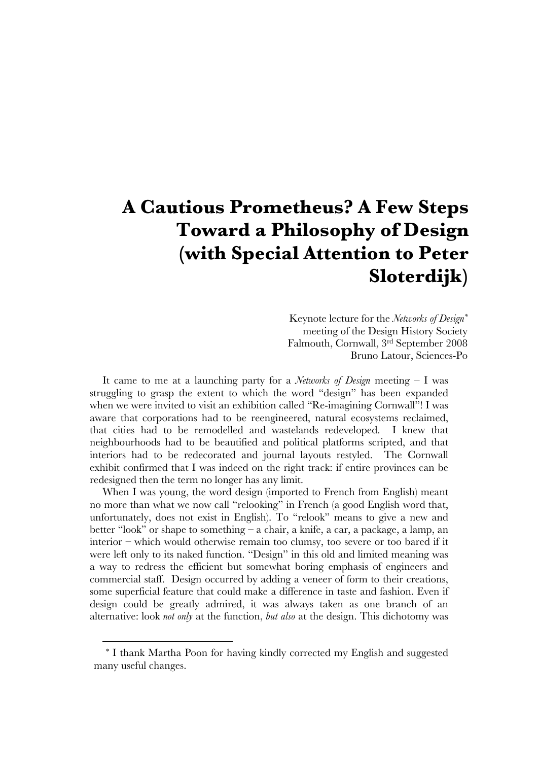# **A Cautious Prometheus? A Few Steps Toward a Philosophy of Design (with Special Attention to Peter Sloterdijk)**

Keynote lecture for the *Networks of Design\** meeting of the Design History Society Falmouth, Cornwall, 3rd September 2008 Bruno Latour, Sciences-Po

It came to me at a launching party for a *Networks of Design* meeting – I was struggling to grasp the extent to which the word "design" has been expanded when we were invited to visit an exhibition called "Re-imagining Cornwall"! I was aware that corporations had to be reengineered, natural ecosystems reclaimed, that cities had to be remodelled and wastelands redeveloped. I knew that neighbourhoods had to be beautified and political platforms scripted, and that interiors had to be redecorated and journal layouts restyled. The Cornwall exhibit confirmed that I was indeed on the right track: if entire provinces can be redesigned then the term no longer has any limit.

When I was young, the word design (imported to French from English) meant no more than what we now call "relooking" in French (a good English word that, unfortunately, does not exist in English). To "relook" means to give a new and better "look" or shape to something – a chair, a knife, a car, a package, a lamp, an interior – which would otherwise remain too clumsy, too severe or too bared if it were left only to its naked function. "Design" in this old and limited meaning was a way to redress the efficient but somewhat boring emphasis of engineers and commercial staff. Design occurred by adding a veneer of form to their creations, some superficial feature that could make a difference in taste and fashion. Even if design could be greatly admired, it was always taken as one branch of an alternative: look *not only* at the function, *but also* at the design. This dichotomy was

-

<sup>\*</sup> I thank Martha Poon for having kindly corrected my English and suggested many useful changes.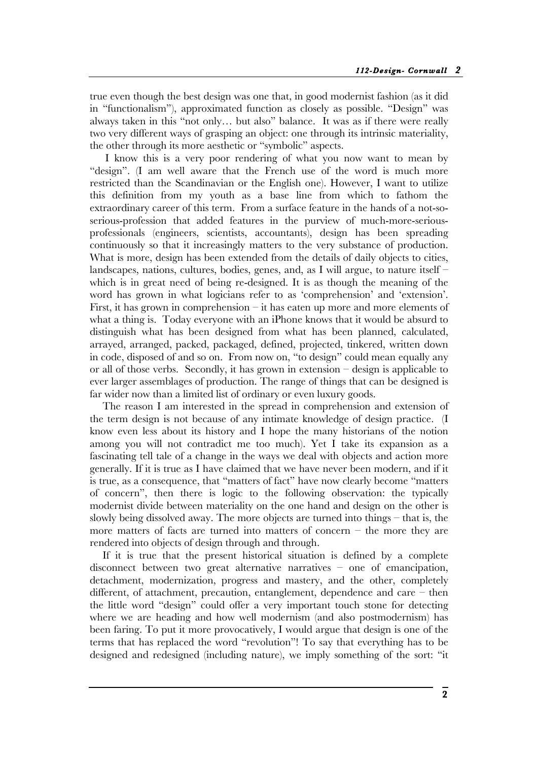true even though the best design was one that, in good modernist fashion (as it did in "functionalism"), approximated function as closely as possible. "Design" was always taken in this "not only… but also" balance. It was as if there were really two very different ways of grasping an object: one through its intrinsic materiality, the other through its more aesthetic or "symbolic" aspects.

 I know this is a very poor rendering of what you now want to mean by "design". (I am well aware that the French use of the word is much more restricted than the Scandinavian or the English one). However, I want to utilize this definition from my youth as a base line from which to fathom the extraordinary career of this term. From a surface feature in the hands of a not-soserious-profession that added features in the purview of much-more-seriousprofessionals (engineers, scientists, accountants), design has been spreading continuously so that it increasingly matters to the very substance of production. What is more, design has been extended from the details of daily objects to cities, landscapes, nations, cultures, bodies, genes, and, as I will argue, to nature itself – which is in great need of being re-designed. It is as though the meaning of the word has grown in what logicians refer to as 'comprehension' and 'extension'. First, it has grown in comprehension – it has eaten up more and more elements of what a thing is. Today everyone with an iPhone knows that it would be absurd to distinguish what has been designed from what has been planned, calculated, arrayed, arranged, packed, packaged, defined, projected, tinkered, written down in code, disposed of and so on. From now on, "to design" could mean equally any or all of those verbs. Secondly, it has grown in extension – design is applicable to ever larger assemblages of production. The range of things that can be designed is far wider now than a limited list of ordinary or even luxury goods.

The reason I am interested in the spread in comprehension and extension of the term design is not because of any intimate knowledge of design practice. (I know even less about its history and I hope the many historians of the notion among you will not contradict me too much). Yet I take its expansion as a fascinating tell tale of a change in the ways we deal with objects and action more generally. If it is true as I have claimed that we have never been modern, and if it is true, as a consequence, that "matters of fact" have now clearly become "matters of concern", then there is logic to the following observation: the typically modernist divide between materiality on the one hand and design on the other is slowly being dissolved away. The more objects are turned into things – that is, the more matters of facts are turned into matters of concern  $-$  the more they are rendered into objects of design through and through.

If it is true that the present historical situation is defined by a complete disconnect between two great alternative narratives – one of emancipation, detachment, modernization, progress and mastery, and the other, completely different, of attachment, precaution, entanglement, dependence and care – then the little word "design" could offer a very important touch stone for detecting where we are heading and how well modernism (and also postmodernism) has been faring. To put it more provocatively, I would argue that design is one of the terms that has replaced the word "revolution"! To say that everything has to be designed and redesigned (including nature), we imply something of the sort: "it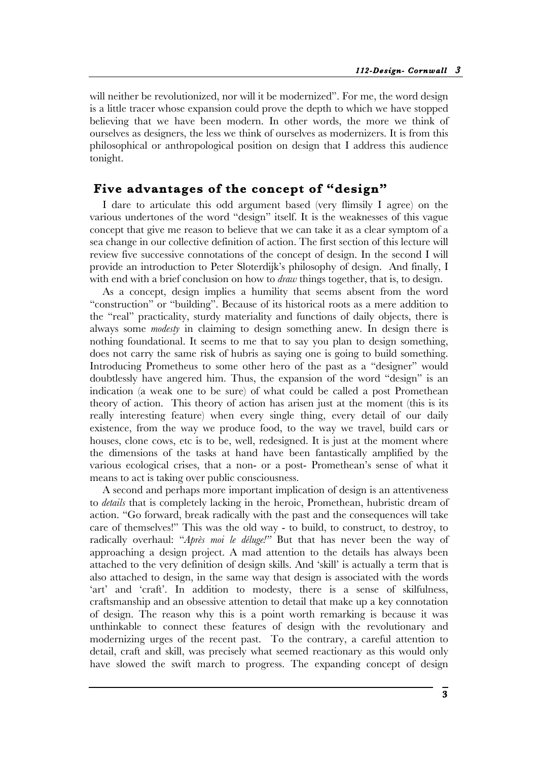will neither be revolutionized, nor will it be modernized". For me, the word design is a little tracer whose expansion could prove the depth to which we have stopped believing that we have been modern. In other words, the more we think of ourselves as designers, the less we think of ourselves as modernizers. It is from this philosophical or anthropological position on design that I address this audience tonight.

### **Five advantages of the concept of "design"**

I dare to articulate this odd argument based (very flimsily I agree) on the various undertones of the word "design" itself. It is the weaknesses of this vague concept that give me reason to believe that we can take it as a clear symptom of a sea change in our collective definition of action. The first section of this lecture will review five successive connotations of the concept of design. In the second I will provide an introduction to Peter Sloterdijk's philosophy of design. And finally, I with end with a brief conclusion on how to *draw* things together, that is, to design.

As a concept, design implies a humility that seems absent from the word "construction" or "building". Because of its historical roots as a mere addition to the "real" practicality, sturdy materiality and functions of daily objects, there is always some *modesty* in claiming to design something anew. In design there is nothing foundational. It seems to me that to say you plan to design something, does not carry the same risk of hubris as saying one is going to build something. Introducing Prometheus to some other hero of the past as a "designer" would doubtlessly have angered him. Thus, the expansion of the word "design" is an indication (a weak one to be sure) of what could be called a post Promethean theory of action. This theory of action has arisen just at the moment (this is its really interesting feature) when every single thing, every detail of our daily existence, from the way we produce food, to the way we travel, build cars or houses, clone cows, etc is to be, well, redesigned. It is just at the moment where the dimensions of the tasks at hand have been fantastically amplified by the various ecological crises, that a non- or a post- Promethean's sense of what it means to act is taking over public consciousness.

A second and perhaps more important implication of design is an attentiveness to *details* that is completely lacking in the heroic, Promethean, hubristic dream of action. "Go forward, break radically with the past and the consequences will take care of themselves!" This was the old way - to build, to construct, to destroy, to radically overhaul: "*Après moi le déluge!"* But that has never been the way of approaching a design project. A mad attention to the details has always been attached to the very definition of design skills. And 'skill' is actually a term that is also attached to design, in the same way that design is associated with the words 'art' and 'craft'. In addition to modesty, there is a sense of skilfulness, craftsmanship and an obsessive attention to detail that make up a key connotation of design. The reason why this is a point worth remarking is because it was unthinkable to connect these features of design with the revolutionary and modernizing urges of the recent past. To the contrary, a careful attention to detail, craft and skill, was precisely what seemed reactionary as this would only have slowed the swift march to progress. The expanding concept of design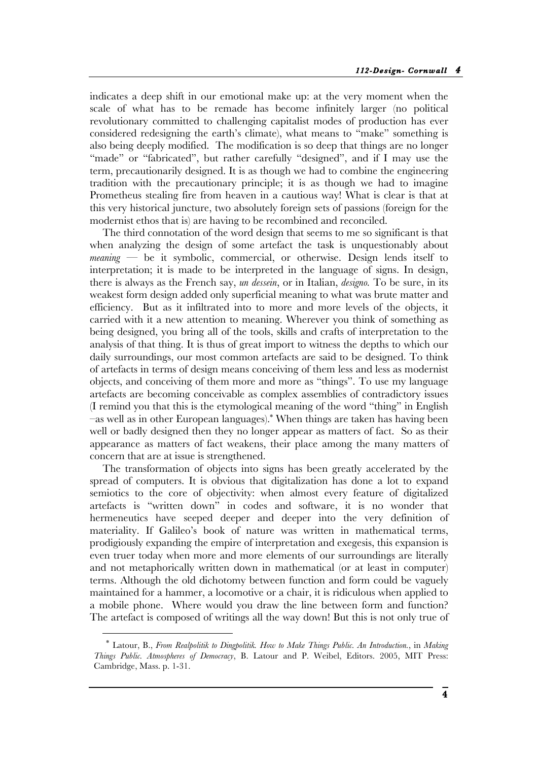indicates a deep shift in our emotional make up: at the very moment when the scale of what has to be remade has become infinitely larger (no political revolutionary committed to challenging capitalist modes of production has ever considered redesigning the earth's climate), what means to "make" something is also being deeply modified. The modification is so deep that things are no longer "made" or "fabricated", but rather carefully "designed", and if I may use the term, precautionarily designed. It is as though we had to combine the engineering tradition with the precautionary principle; it is as though we had to imagine Prometheus stealing fire from heaven in a cautious way! What is clear is that at this very historical juncture, two absolutely foreign sets of passions (foreign for the modernist ethos that is) are having to be recombined and reconciled.

The third connotation of the word design that seems to me so significant is that when analyzing the design of some artefact the task is unquestionably about *meaning* — be it symbolic, commercial, or otherwise. Design lends itself to interpretation; it is made to be interpreted in the language of signs. In design, there is always as the French say, *un dessein*, or in Italian, *designo.* To be sure, in its weakest form design added only superficial meaning to what was brute matter and efficiency. But as it infiltrated into to more and more levels of the objects, it carried with it a new attention to meaning. Wherever you think of something as being designed, you bring all of the tools, skills and crafts of interpretation to the analysis of that thing. It is thus of great import to witness the depths to which our daily surroundings, our most common artefacts are said to be designed. To think of artefacts in terms of design means conceiving of them less and less as modernist objects, and conceiving of them more and more as "things". To use my language artefacts are becoming conceivable as complex assemblies of contradictory issues (I remind you that this is the etymological meaning of the word "thing" in English –as well as in other European languages).\* When things are taken has having been well or badly designed then they no longer appear as matters of fact. So as their appearance as matters of fact weakens, their place among the many matters of concern that are at issue is strengthened.

The transformation of objects into signs has been greatly accelerated by the spread of computers. It is obvious that digitalization has done a lot to expand semiotics to the core of objectivity: when almost every feature of digitalized artefacts is "written down" in codes and software, it is no wonder that hermeneutics have seeped deeper and deeper into the very definition of materiality. If Galileo's book of nature was written in mathematical terms, prodigiously expanding the empire of interpretation and exegesis, this expansion is even truer today when more and more elements of our surroundings are literally and not metaphorically written down in mathematical (or at least in computer) terms. Although the old dichotomy between function and form could be vaguely maintained for a hammer, a locomotive or a chair, it is ridiculous when applied to a mobile phone. Where would you draw the line between form and function? The artefact is composed of writings all the way down! But this is not only true of

-

<sup>\*</sup> Latour, B., *From Realpolitik to Dingpolitik. How to Make Things Public. An Introduction.*, in *Making Things Public. Atmospheres of Democracy*, B. Latour and P. Weibel, Editors. 2005, MIT Press: Cambridge, Mass. p. 1-31.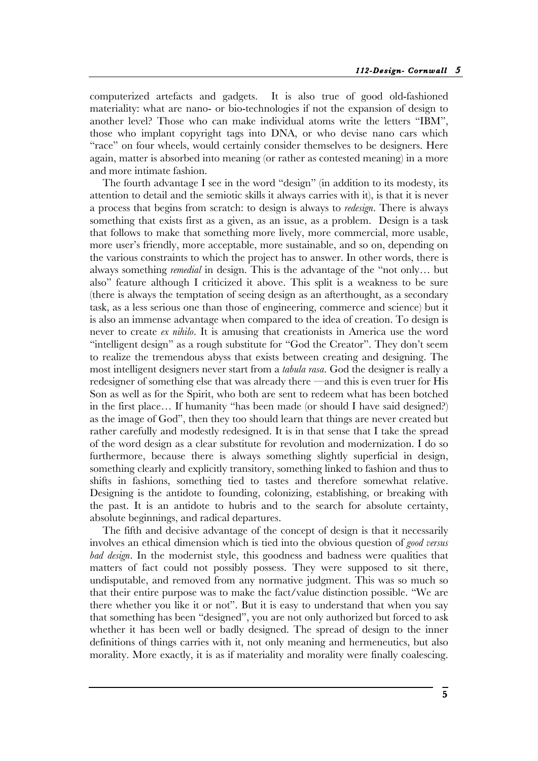computerized artefacts and gadgets. It is also true of good old-fashioned materiality: what are nano- or bio-technologies if not the expansion of design to another level? Those who can make individual atoms write the letters "IBM", those who implant copyright tags into DNA, or who devise nano cars which "race" on four wheels, would certainly consider themselves to be designers. Here again, matter is absorbed into meaning (or rather as contested meaning) in a more and more intimate fashion.

The fourth advantage I see in the word "design" (in addition to its modesty, its attention to detail and the semiotic skills it always carries with it), is that it is never a process that begins from scratch: to design is always to *redesign*. There is always something that exists first as a given, as an issue, as a problem. Design is a task that follows to make that something more lively, more commercial, more usable, more user's friendly, more acceptable, more sustainable, and so on, depending on the various constraints to which the project has to answer. In other words, there is always something *remedial* in design. This is the advantage of the "not only… but also" feature although I criticized it above. This split is a weakness to be sure (there is always the temptation of seeing design as an afterthought, as a secondary task, as a less serious one than those of engineering, commerce and science) but it is also an immense advantage when compared to the idea of creation. To design is never to create *ex nihilo*. It is amusing that creationists in America use the word "intelligent design" as a rough substitute for "God the Creator". They don't seem to realize the tremendous abyss that exists between creating and designing. The most intelligent designers never start from a *tabula rasa*. God the designer is really a redesigner of something else that was already there —and this is even truer for His Son as well as for the Spirit, who both are sent to redeem what has been botched in the first place… If humanity "has been made (or should I have said designed?) as the image of God", then they too should learn that things are never created but rather carefully and modestly redesigned. It is in that sense that I take the spread of the word design as a clear substitute for revolution and modernization. I do so furthermore, because there is always something slightly superficial in design, something clearly and explicitly transitory, something linked to fashion and thus to shifts in fashions, something tied to tastes and therefore somewhat relative. Designing is the antidote to founding, colonizing, establishing, or breaking with the past. It is an antidote to hubris and to the search for absolute certainty, absolute beginnings, and radical departures.

The fifth and decisive advantage of the concept of design is that it necessarily involves an ethical dimension which is tied into the obvious question of *good versus bad design*. In the modernist style, this goodness and badness were qualities that matters of fact could not possibly possess. They were supposed to sit there, undisputable, and removed from any normative judgment. This was so much so that their entire purpose was to make the fact/value distinction possible. "We are there whether you like it or not". But it is easy to understand that when you say that something has been "designed", you are not only authorized but forced to ask whether it has been well or badly designed. The spread of design to the inner definitions of things carries with it, not only meaning and hermeneutics, but also morality. More exactly, it is as if materiality and morality were finally coalescing.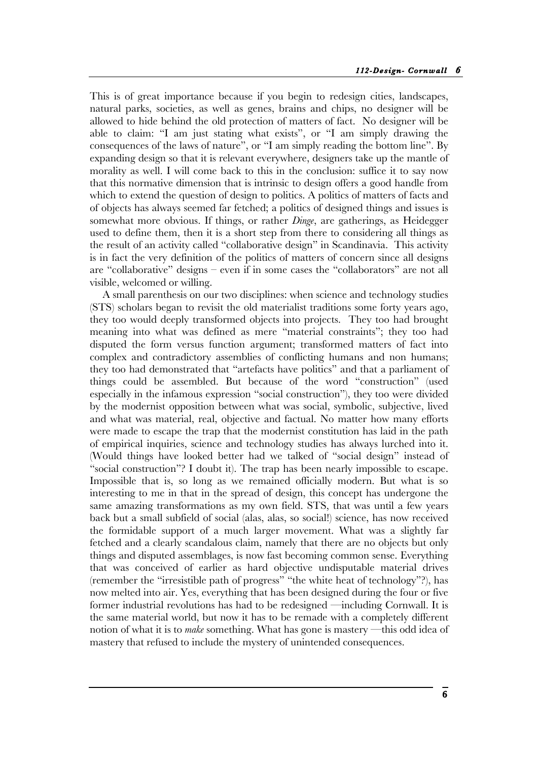This is of great importance because if you begin to redesign cities, landscapes, natural parks, societies, as well as genes, brains and chips, no designer will be allowed to hide behind the old protection of matters of fact. No designer will be able to claim: "I am just stating what exists", or "I am simply drawing the consequences of the laws of nature", or "I am simply reading the bottom line". By expanding design so that it is relevant everywhere, designers take up the mantle of morality as well. I will come back to this in the conclusion: suffice it to say now that this normative dimension that is intrinsic to design offers a good handle from which to extend the question of design to politics. A politics of matters of facts and of objects has always seemed far fetched; a politics of designed things and issues is somewhat more obvious. If things, or rather *Dinge*, are gatherings, as Heidegger used to define them, then it is a short step from there to considering all things as the result of an activity called "collaborative design" in Scandinavia. This activity is in fact the very definition of the politics of matters of concern since all designs are "collaborative" designs – even if in some cases the "collaborators" are not all visible, welcomed or willing.

A small parenthesis on our two disciplines: when science and technology studies (STS) scholars began to revisit the old materialist traditions some forty years ago, they too would deeply transformed objects into projects. They too had brought meaning into what was defined as mere "material constraints"; they too had disputed the form versus function argument; transformed matters of fact into complex and contradictory assemblies of conflicting humans and non humans; they too had demonstrated that "artefacts have politics" and that a parliament of things could be assembled. But because of the word "construction" (used especially in the infamous expression "social construction"), they too were divided by the modernist opposition between what was social, symbolic, subjective, lived and what was material, real, objective and factual. No matter how many efforts were made to escape the trap that the modernist constitution has laid in the path of empirical inquiries, science and technology studies has always lurched into it. (Would things have looked better had we talked of "social design" instead of "social construction"? I doubt it). The trap has been nearly impossible to escape. Impossible that is, so long as we remained officially modern. But what is so interesting to me in that in the spread of design, this concept has undergone the same amazing transformations as my own field. STS, that was until a few years back but a small subfield of social (alas, alas, so social!) science, has now received the formidable support of a much larger movement. What was a slightly far fetched and a clearly scandalous claim, namely that there are no objects but only things and disputed assemblages, is now fast becoming common sense. Everything that was conceived of earlier as hard objective undisputable material drives (remember the "irresistible path of progress" "the white heat of technology"?), has now melted into air. Yes, everything that has been designed during the four or five former industrial revolutions has had to be redesigned —including Cornwall. It is the same material world, but now it has to be remade with a completely different notion of what it is to *make* something. What has gone is mastery —this odd idea of mastery that refused to include the mystery of unintended consequences.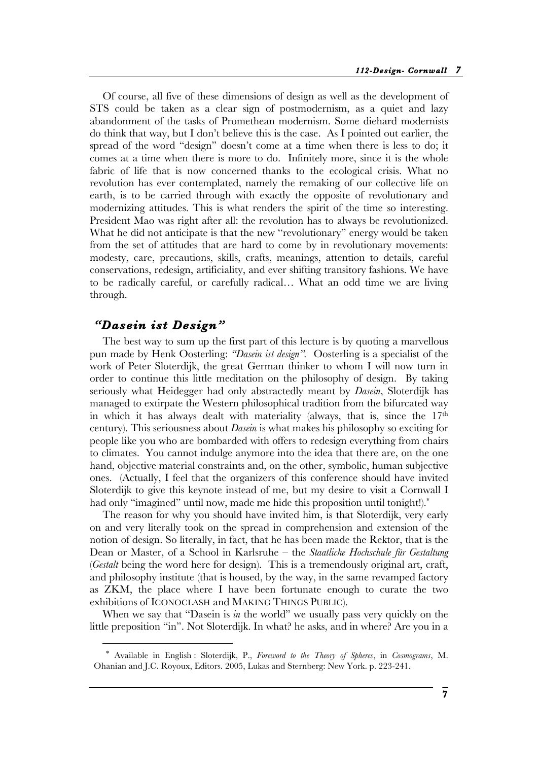Of course, all five of these dimensions of design as well as the development of STS could be taken as a clear sign of postmodernism, as a quiet and lazy abandonment of the tasks of Promethean modernism. Some diehard modernists do think that way, but I don't believe this is the case. As I pointed out earlier, the spread of the word "design" doesn't come at a time when there is less to do; it comes at a time when there is more to do. Infinitely more, since it is the whole fabric of life that is now concerned thanks to the ecological crisis. What no revolution has ever contemplated, namely the remaking of our collective life on earth, is to be carried through with exactly the opposite of revolutionary and modernizing attitudes. This is what renders the spirit of the time so interesting. President Mao was right after all: the revolution has to always be revolutionized. What he did not anticipate is that the new "revolutionary" energy would be taken from the set of attitudes that are hard to come by in revolutionary movements: modesty, care, precautions, skills, crafts, meanings, attention to details, careful conservations, redesign, artificiality, and ever shifting transitory fashions. We have to be radically careful, or carefully radical… What an odd time we are living through.

#### *"Dasein ist Design"*

-

The best way to sum up the first part of this lecture is by quoting a marvellous pun made by Henk Oosterling: *"Dasein ist design".* Oosterling is a specialist of the work of Peter Sloterdijk, the great German thinker to whom I will now turn in order to continue this little meditation on the philosophy of design. By taking seriously what Heidegger had only abstractedly meant by *Dasein*, Sloterdijk has managed to extirpate the Western philosophical tradition from the bifurcated way in which it has always dealt with materiality (always, that is, since the  $17<sup>th</sup>$ century). This seriousness about *Dasein* is what makes his philosophy so exciting for people like you who are bombarded with offers to redesign everything from chairs to climates. You cannot indulge anymore into the idea that there are, on the one hand, objective material constraints and, on the other, symbolic, human subjective ones. (Actually, I feel that the organizers of this conference should have invited Sloterdijk to give this keynote instead of me, but my desire to visit a Cornwall I had only "imagined" until now, made me hide this proposition until tonight!).<sup>\*</sup>

The reason for why you should have invited him, is that Sloterdijk, very early on and very literally took on the spread in comprehension and extension of the notion of design. So literally, in fact, that he has been made the Rektor, that is the Dean or Master, of a School in Karlsruhe – the *Staatliche Hochschule für Gestaltung* (*Gestalt* being the word here for design). This is a tremendously original art, craft, and philosophy institute (that is housed, by the way, in the same revamped factory as ZKM, the place where I have been fortunate enough to curate the two exhibitions of ICONOCLASH and MAKING THINGS PUBLIC).

When we say that "Dasein is *in* the world" we usually pass very quickly on the little preposition "in". Not Sloterdijk. In what? he asks, and in where? Are you in a

<sup>\*</sup> Available in English : Sloterdijk, P., *Foreword to the Theory of Spheres*, in *Cosmograms*, M. Ohanian and J.C. Royoux, Editors. 2005, Lukas and Sternberg: New York. p. 223-241.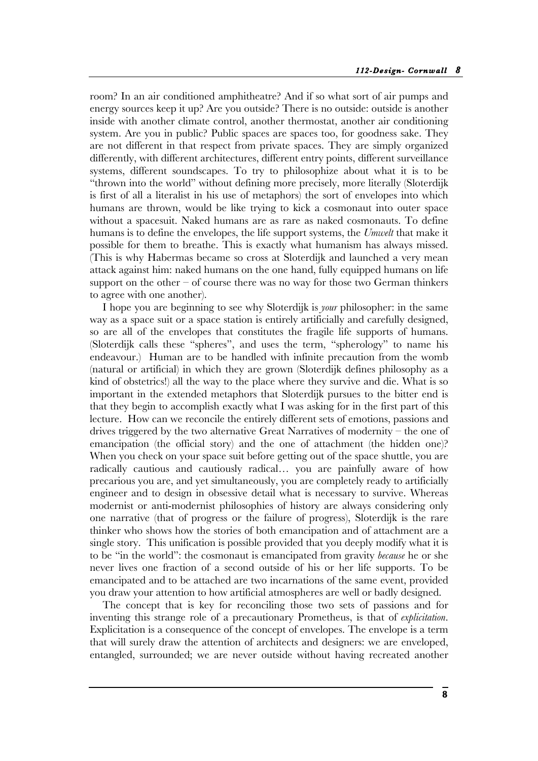room? In an air conditioned amphitheatre? And if so what sort of air pumps and energy sources keep it up? Are you outside? There is no outside: outside is another inside with another climate control, another thermostat, another air conditioning system. Are you in public? Public spaces are spaces too, for goodness sake. They are not different in that respect from private spaces. They are simply organized differently, with different architectures, different entry points, different surveillance systems, different soundscapes. To try to philosophize about what it is to be "thrown into the world" without defining more precisely, more literally (Sloterdijk is first of all a literalist in his use of metaphors) the sort of envelopes into which humans are thrown, would be like trying to kick a cosmonaut into outer space without a spacesuit. Naked humans are as rare as naked cosmonauts. To define humans is to define the envelopes, the life support systems, the *Umwelt* that make it possible for them to breathe. This is exactly what humanism has always missed. (This is why Habermas became so cross at Sloterdijk and launched a very mean attack against him: naked humans on the one hand, fully equipped humans on life support on the other – of course there was no way for those two German thinkers to agree with one another).

I hope you are beginning to see why Sloterdijk is *your* philosopher: in the same way as a space suit or a space station is entirely artificially and carefully designed, so are all of the envelopes that constitutes the fragile life supports of humans. (Sloterdijk calls these "spheres", and uses the term, "spherology" to name his endeavour.) Human are to be handled with infinite precaution from the womb (natural or artificial) in which they are grown (Sloterdijk defines philosophy as a kind of obstetrics!) all the way to the place where they survive and die. What is so important in the extended metaphors that Sloterdijk pursues to the bitter end is that they begin to accomplish exactly what I was asking for in the first part of this lecture. How can we reconcile the entirely different sets of emotions, passions and drives triggered by the two alternative Great Narratives of modernity – the one of emancipation (the official story) and the one of attachment (the hidden one)? When you check on your space suit before getting out of the space shuttle, you are radically cautious and cautiously radical… you are painfully aware of how precarious you are, and yet simultaneously, you are completely ready to artificially engineer and to design in obsessive detail what is necessary to survive. Whereas modernist or anti-modernist philosophies of history are always considering only one narrative (that of progress or the failure of progress), Sloterdijk is the rare thinker who shows how the stories of both emancipation and of attachment are a single story. This unification is possible provided that you deeply modify what it is to be "in the world": the cosmonaut is emancipated from gravity *because* he or she never lives one fraction of a second outside of his or her life supports. To be emancipated and to be attached are two incarnations of the same event, provided you draw your attention to how artificial atmospheres are well or badly designed.

The concept that is key for reconciling those two sets of passions and for inventing this strange role of a precautionary Prometheus, is that of *explicitation*. Explicitation is a consequence of the concept of envelopes. The envelope is a term that will surely draw the attention of architects and designers: we are enveloped, entangled, surrounded; we are never outside without having recreated another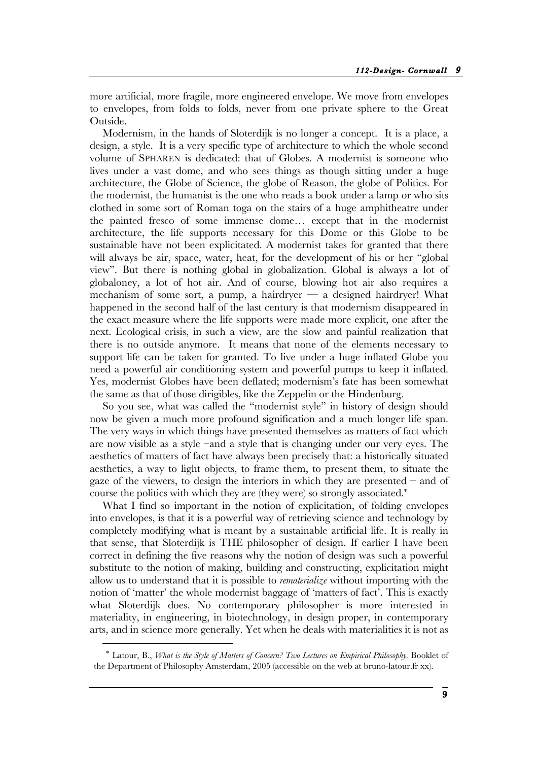more artificial, more fragile, more engineered envelope. We move from envelopes to envelopes, from folds to folds, never from one private sphere to the Great Outside.

Modernism, in the hands of Sloterdijk is no longer a concept. It is a place, a design, a style. It is a very specific type of architecture to which the whole second volume of SPHÄREN is dedicated: that of Globes. A modernist is someone who lives under a vast dome, and who sees things as though sitting under a huge architecture, the Globe of Science, the globe of Reason, the globe of Politics. For the modernist, the humanist is the one who reads a book under a lamp or who sits clothed in some sort of Roman toga on the stairs of a huge amphitheatre under the painted fresco of some immense dome… except that in the modernist architecture, the life supports necessary for this Dome or this Globe to be sustainable have not been explicitated. A modernist takes for granted that there will always be air, space, water, heat, for the development of his or her "global view". But there is nothing global in globalization. Global is always a lot of globaloney, a lot of hot air. And of course, blowing hot air also requires a mechanism of some sort, a pump, a hairdryer  $-$  a designed hairdryer! What happened in the second half of the last century is that modernism disappeared in the exact measure where the life supports were made more explicit, one after the next. Ecological crisis, in such a view, are the slow and painful realization that there is no outside anymore. It means that none of the elements necessary to support life can be taken for granted. To live under a huge inflated Globe you need a powerful air conditioning system and powerful pumps to keep it inflated. Yes, modernist Globes have been deflated; modernism's fate has been somewhat the same as that of those dirigibles, like the Zeppelin or the Hindenburg.

So you see, what was called the "modernist style" in history of design should now be given a much more profound signification and a much longer life span. The very ways in which things have presented themselves as matters of fact which are now visible as a style –and a style that is changing under our very eyes. The aesthetics of matters of fact have always been precisely that: a historically situated aesthetics, a way to light objects, to frame them, to present them, to situate the gaze of the viewers, to design the interiors in which they are presented – and of course the politics with which they are (they were) so strongly associated.\*

What I find so important in the notion of explicitation, of folding envelopes into envelopes, is that it is a powerful way of retrieving science and technology by completely modifying what is meant by a sustainable artificial life. It is really in that sense, that Sloterdijk is THE philosopher of design. If earlier I have been correct in defining the five reasons why the notion of design was such a powerful substitute to the notion of making, building and constructing, explicitation might allow us to understand that it is possible to *rematerialize* without importing with the notion of 'matter' the whole modernist baggage of 'matters of fact'. This is exactly what Sloterdijk does. No contemporary philosopher is more interested in materiality, in engineering, in biotechnology, in design proper, in contemporary arts, and in science more generally. Yet when he deals with materialities it is not as

-

<sup>\*</sup> Latour, B., *What is the Style of Matters of Concern? Two Lectures on Empirical Philosophy.* Booklet of the Department of Philosophy Amsterdam, 2005 (accessible on the web at bruno-latour.fr xx).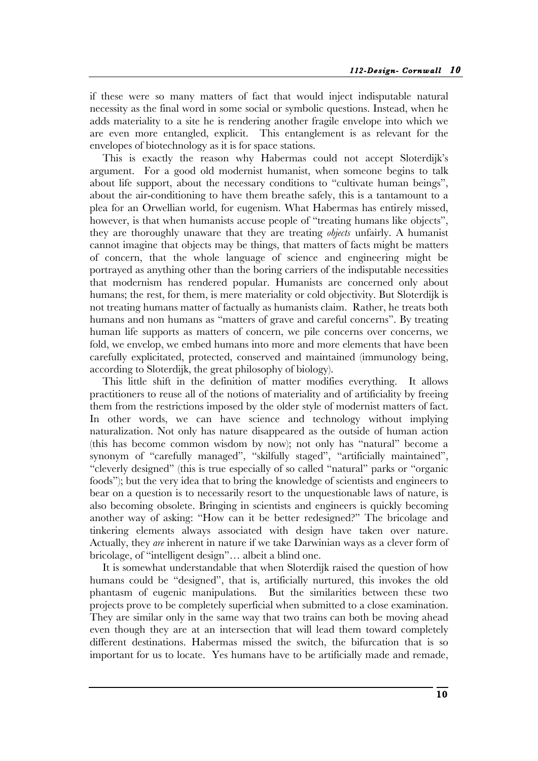if these were so many matters of fact that would inject indisputable natural necessity as the final word in some social or symbolic questions. Instead, when he adds materiality to a site he is rendering another fragile envelope into which we are even more entangled, explicit. This entanglement is as relevant for the envelopes of biotechnology as it is for space stations.

This is exactly the reason why Habermas could not accept Sloterdijk's argument. For a good old modernist humanist, when someone begins to talk about life support, about the necessary conditions to "cultivate human beings", about the air-conditioning to have them breathe safely, this is a tantamount to a plea for an Orwellian world, for eugenism. What Habermas has entirely missed, however, is that when humanists accuse people of "treating humans like objects", they are thoroughly unaware that they are treating *objects* unfairly. A humanist cannot imagine that objects may be things, that matters of facts might be matters of concern, that the whole language of science and engineering might be portrayed as anything other than the boring carriers of the indisputable necessities that modernism has rendered popular. Humanists are concerned only about humans; the rest, for them, is mere materiality or cold objectivity. But Sloterdijk is not treating humans matter of factually as humanists claim. Rather, he treats both humans and non humans as "matters of grave and careful concerns". By treating human life supports as matters of concern, we pile concerns over concerns, we fold, we envelop, we embed humans into more and more elements that have been carefully explicitated, protected, conserved and maintained (immunology being, according to Sloterdijk, the great philosophy of biology).

This little shift in the definition of matter modifies everything. It allows practitioners to reuse all of the notions of materiality and of artificiality by freeing them from the restrictions imposed by the older style of modernist matters of fact. In other words, we can have science and technology without implying naturalization. Not only has nature disappeared as the outside of human action (this has become common wisdom by now); not only has "natural" become a synonym of "carefully managed", "skilfully staged", "artificially maintained", "cleverly designed" (this is true especially of so called "natural" parks or "organic foods"); but the very idea that to bring the knowledge of scientists and engineers to bear on a question is to necessarily resort to the unquestionable laws of nature, is also becoming obsolete. Bringing in scientists and engineers is quickly becoming another way of asking: "How can it be better redesigned?" The bricolage and tinkering elements always associated with design have taken over nature. Actually, they *are* inherent in nature if we take Darwinian ways as a clever form of bricolage, of "intelligent design"… albeit a blind one.

It is somewhat understandable that when Sloterdijk raised the question of how humans could be "designed", that is, artificially nurtured, this invokes the old phantasm of eugenic manipulations. But the similarities between these two projects prove to be completely superficial when submitted to a close examination. They are similar only in the same way that two trains can both be moving ahead even though they are at an intersection that will lead them toward completely different destinations. Habermas missed the switch, the bifurcation that is so important for us to locate. Yes humans have to be artificially made and remade,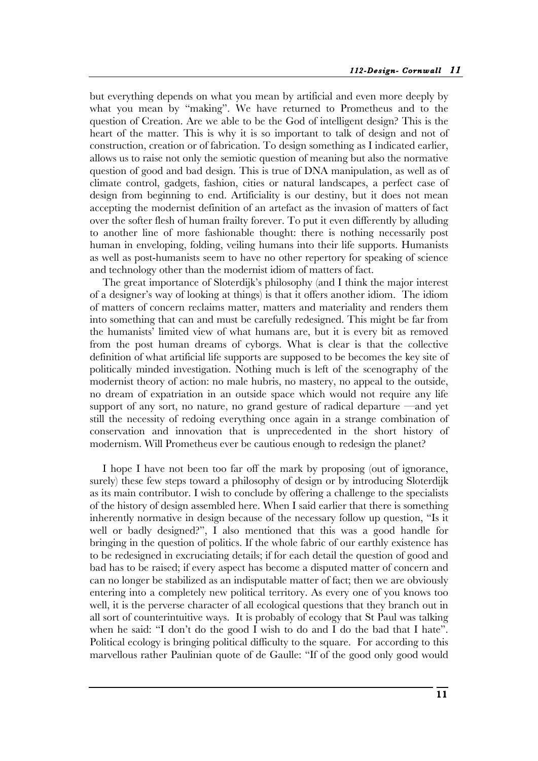but everything depends on what you mean by artificial and even more deeply by what you mean by "making". We have returned to Prometheus and to the question of Creation. Are we able to be the God of intelligent design? This is the heart of the matter. This is why it is so important to talk of design and not of construction, creation or of fabrication. To design something as I indicated earlier, allows us to raise not only the semiotic question of meaning but also the normative question of good and bad design. This is true of DNA manipulation, as well as of climate control, gadgets, fashion, cities or natural landscapes, a perfect case of design from beginning to end. Artificiality is our destiny, but it does not mean accepting the modernist definition of an artefact as the invasion of matters of fact over the softer flesh of human frailty forever. To put it even differently by alluding to another line of more fashionable thought: there is nothing necessarily post human in enveloping, folding, veiling humans into their life supports. Humanists as well as post-humanists seem to have no other repertory for speaking of science and technology other than the modernist idiom of matters of fact.

The great importance of Sloterdijk's philosophy (and I think the major interest of a designer's way of looking at things) is that it offers another idiom. The idiom of matters of concern reclaims matter, matters and materiality and renders them into something that can and must be carefully redesigned. This might be far from the humanists' limited view of what humans are, but it is every bit as removed from the post human dreams of cyborgs. What is clear is that the collective definition of what artificial life supports are supposed to be becomes the key site of politically minded investigation. Nothing much is left of the scenography of the modernist theory of action: no male hubris, no mastery, no appeal to the outside, no dream of expatriation in an outside space which would not require any life support of any sort, no nature, no grand gesture of radical departure —and yet still the necessity of redoing everything once again in a strange combination of conservation and innovation that is unprecedented in the short history of modernism. Will Prometheus ever be cautious enough to redesign the planet?

I hope I have not been too far off the mark by proposing (out of ignorance, surely) these few steps toward a philosophy of design or by introducing Sloterdijk as its main contributor. I wish to conclude by offering a challenge to the specialists of the history of design assembled here. When I said earlier that there is something inherently normative in design because of the necessary follow up question, "Is it well or badly designed?", I also mentioned that this was a good handle for bringing in the question of politics. If the whole fabric of our earthly existence has to be redesigned in excruciating details; if for each detail the question of good and bad has to be raised; if every aspect has become a disputed matter of concern and can no longer be stabilized as an indisputable matter of fact; then we are obviously entering into a completely new political territory. As every one of you knows too well, it is the perverse character of all ecological questions that they branch out in all sort of counterintuitive ways. It is probably of ecology that St Paul was talking when he said: "I don't do the good I wish to do and I do the bad that I hate". Political ecology is bringing political difficulty to the square. For according to this marvellous rather Paulinian quote of de Gaulle: "If of the good only good would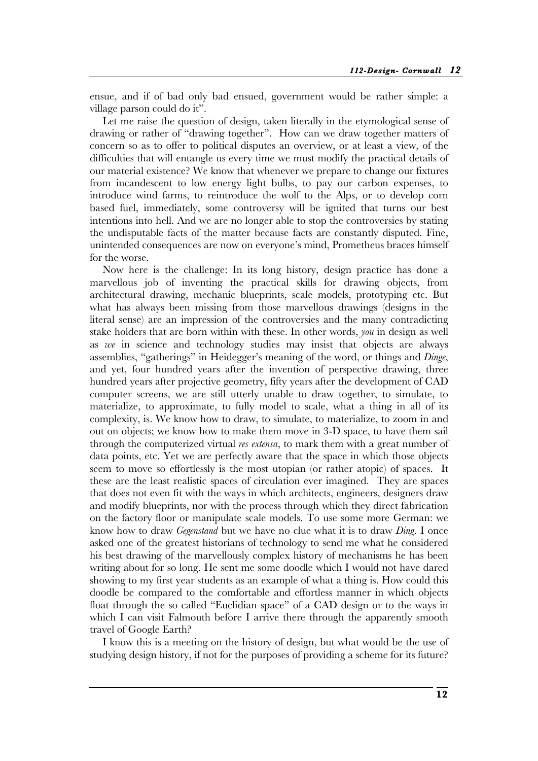ensue, and if of bad only bad ensued, government would be rather simple: a village parson could do it".

Let me raise the question of design, taken literally in the etymological sense of drawing or rather of "drawing together". How can we draw together matters of concern so as to offer to political disputes an overview, or at least a view, of the difficulties that will entangle us every time we must modify the practical details of our material existence? We know that whenever we prepare to change our fixtures from incandescent to low energy light bulbs, to pay our carbon expenses, to introduce wind farms, to reintroduce the wolf to the Alps, or to develop corn based fuel, immediately, some controversy will be ignited that turns our best intentions into hell. And we are no longer able to stop the controversies by stating the undisputable facts of the matter because facts are constantly disputed. Fine, unintended consequences are now on everyone's mind, Prometheus braces himself for the worse.

Now here is the challenge: In its long history, design practice has done a marvellous job of inventing the practical skills for drawing objects, from architectural drawing, mechanic blueprints, scale models, prototyping etc. But what has always been missing from those marvellous drawings (designs in the literal sense) are an impression of the controversies and the many contradicting stake holders that are born within with these. In other words, *you* in design as well as *we* in science and technology studies may insist that objects are always assemblies, "gatherings" in Heidegger's meaning of the word, or things and *Dinge*, and yet, four hundred years after the invention of perspective drawing, three hundred years after projective geometry, fifty years after the development of CAD computer screens, we are still utterly unable to draw together, to simulate, to materialize, to approximate, to fully model to scale, what a thing in all of its complexity, is. We know how to draw, to simulate, to materialize, to zoom in and out on objects; we know how to make them move in 3-D space, to have them sail through the computerized virtual *res extensa*, to mark them with a great number of data points, etc. Yet we are perfectly aware that the space in which those objects seem to move so effortlessly is the most utopian (or rather atopic) of spaces. It these are the least realistic spaces of circulation ever imagined. They are spaces that does not even fit with the ways in which architects, engineers, designers draw and modify blueprints, nor with the process through which they direct fabrication on the factory floor or manipulate scale models. To use some more German: we know how to draw *Gegenstand* but we have no clue what it is to draw *Ding*. I once asked one of the greatest historians of technology to send me what he considered his best drawing of the marvellously complex history of mechanisms he has been writing about for so long. He sent me some doodle which I would not have dared showing to my first year students as an example of what a thing is. How could this doodle be compared to the comfortable and effortless manner in which objects float through the so called "Euclidian space" of a CAD design or to the ways in which I can visit Falmouth before I arrive there through the apparently smooth travel of Google Earth?

I know this is a meeting on the history of design, but what would be the use of studying design history, if not for the purposes of providing a scheme for its future?